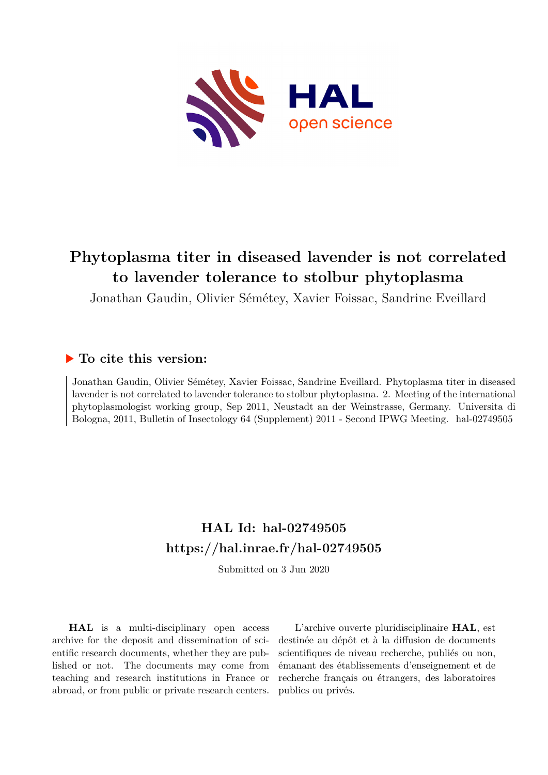

# **Phytoplasma titer in diseased lavender is not correlated to lavender tolerance to stolbur phytoplasma**

Jonathan Gaudin, Olivier Sémétey, Xavier Foissac, Sandrine Eveillard

### **To cite this version:**

Jonathan Gaudin, Olivier Sémétey, Xavier Foissac, Sandrine Eveillard. Phytoplasma titer in diseased lavender is not correlated to lavender tolerance to stolbur phytoplasma. 2. Meeting of the international phytoplasmologist working group, Sep 2011, Neustadt an der Weinstrasse, Germany. Universita di Bologna, 2011, Bulletin of Insectology 64 (Supplement) 2011 - Second IPWG Meeting. hal-02749505

## **HAL Id: hal-02749505 <https://hal.inrae.fr/hal-02749505>**

Submitted on 3 Jun 2020

**HAL** is a multi-disciplinary open access archive for the deposit and dissemination of scientific research documents, whether they are published or not. The documents may come from teaching and research institutions in France or abroad, or from public or private research centers.

L'archive ouverte pluridisciplinaire **HAL**, est destinée au dépôt et à la diffusion de documents scientifiques de niveau recherche, publiés ou non, émanant des établissements d'enseignement et de recherche français ou étrangers, des laboratoires publics ou privés.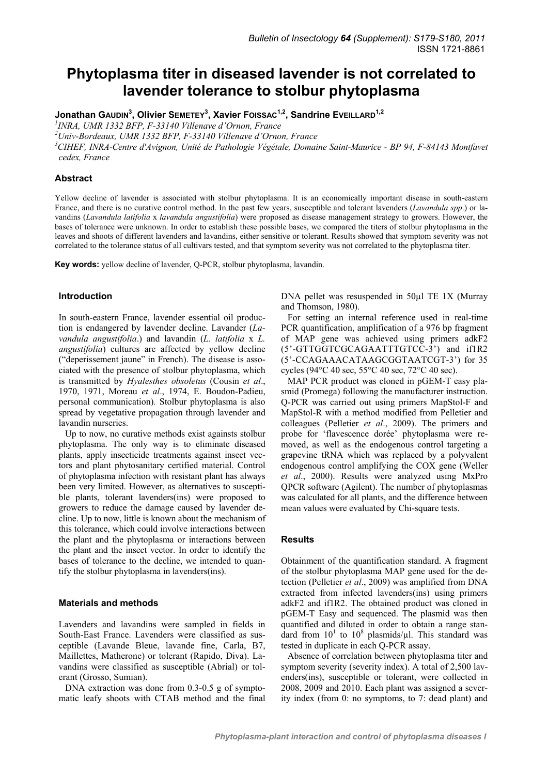### **Phytoplasma titer in diseased lavender is not correlated to lavender tolerance to stolbur phytoplasma**

**Jonathan GAUDIN3 , Olivier SEMETEY<sup>3</sup> , Xavier FOISSAC1,2, Sandrine EVEILLARD1,2**

*1 INRA, UMR 1332 BFP, F-33140 Villenave d'Ornon, France 2*

*Univ-Bordeaux, UMR 1332 BFP, F-33140 Villenave d'Ornon, France 3*

<sup>3</sup> CIHEF, INRA-Centre d'Avignon, Unité de Pathologie Végétale, Domaine Saint-Maurice - BP 94, F-84143 Montfavet *cedex, France* 

#### **Abstract**

Yellow decline of lavender is associated with stolbur phytoplasma. It is an economically important disease in south-eastern France, and there is no curative control method. In the past few years, susceptible and tolerant lavenders (*Lavandula spp*.) or lavandins (*Lavandula latifolia* x *lavandula angustifolia*) were proposed as disease management strategy to growers. However, the bases of tolerance were unknown. In order to establish these possible bases, we compared the titers of stolbur phytoplasma in the leaves and shoots of different lavenders and lavandins, either sensitive or tolerant. Results showed that symptom severity was not correlated to the tolerance status of all cultivars tested, and that symptom severity was not correlated to the phytoplasma titer.

**Key words:** yellow decline of lavender, Q-PCR, stolbur phytoplasma, lavandin.

#### **Introduction**

In south-eastern France, lavender essential oil production is endangered by lavender decline. Lavander (*Lavandula angustifolia*.) and lavandin (*L. latifolia* x *L. angustifolia*) cultures are affected by yellow decline ("deperissement jaune" in French). The disease is associated with the presence of stolbur phytoplasma, which is transmitted by *Hyalesthes obsoletus* (Cousin *et al*., 1970, 1971, Moreau *et al*., 1974, E. Boudon-Padieu, personal communication)*.* Stolbur phytoplasma is also spread by vegetative propagation through lavender and lavandin nurseries.

Up to now, no curative methods exist againsts stolbur phytoplasma. The only way is to eliminate diseased plants, apply insecticide treatments against insect vectors and plant phytosanitary certified material. Control of phytoplasma infection with resistant plant has always been very limited. However, as alternatives to susceptible plants, tolerant lavenders(ins) were proposed to growers to reduce the damage caused by lavender decline. Up to now, little is known about the mechanism of this tolerance, which could involve interactions between the plant and the phytoplasma or interactions between the plant and the insect vector. In order to identify the bases of tolerance to the decline, we intended to quantify the stolbur phytoplasma in lavenders(ins).

#### **Materials and methods**

Lavenders and lavandins were sampled in fields in South-East France. Lavenders were classified as susceptible (Lavande Bleue, lavande fine, Carla, B7, Maillettes, Matherone) or tolerant (Rapido, Diva). Lavandins were classified as susceptible (Abrial) or tolerant (Grosso, Sumian).

DNA extraction was done from 0.3-0.5 g of symptomatic leafy shoots with CTAB method and the final DNA pellet was resuspended in 50µl TE 1X (Murray and Thomson, 1980).

For setting an internal reference used in real-time PCR quantification, amplification of a 976 bp fragment of MAP gene was achieved using primers adkF2 (5'-GTTGGTCGCAGAATTTGTCC-3') and if1R2 (5'-CCAGAAACATAAGCGGTAATCGT-3') for 35 cycles (94°C 40 sec, 55°C 40 sec, 72°C 40 sec).

MAP PCR product was cloned in pGEM-T easy plasmid (Promega) following the manufacturer instruction. Q-PCR was carried out using primers MapStol-F and MapStol-R with a method modified from Pelletier and colleagues (Pelletier *et al*., 2009). The primers and probe for 'flavescence dorée' phytoplasma were removed, as well as the endogenous control targeting a grapevine tRNA which was replaced by a polyvalent endogenous control amplifying the COX gene (Weller *et al*., 2000). Results were analyzed using MxPro QPCR software (Agilent). The number of phytoplasmas was calculated for all plants, and the difference between mean values were evaluated by Chi-square tests.

#### **Results**

Obtainment of the quantification standard. A fragment of the stolbur phytoplasma MAP gene used for the detection (Pelletier *et al*., 2009) was amplified from DNA extracted from infected lavenders(ins) using primers adkF2 and if1R2. The obtained product was cloned in pGEM-T Easy and sequenced. The plasmid was then quantified and diluted in order to obtain a range standard from  $10<sup>1</sup>$  to  $10<sup>8</sup>$  plasmids/ $\mu$ l. This standard was tested in duplicate in each Q-PCR assay.

Absence of correlation between phytoplasma titer and symptom severity (severity index). A total of 2,500 lavenders(ins), susceptible or tolerant, were collected in 2008, 2009 and 2010. Each plant was assigned a severity index (from 0: no symptoms, to 7: dead plant) and